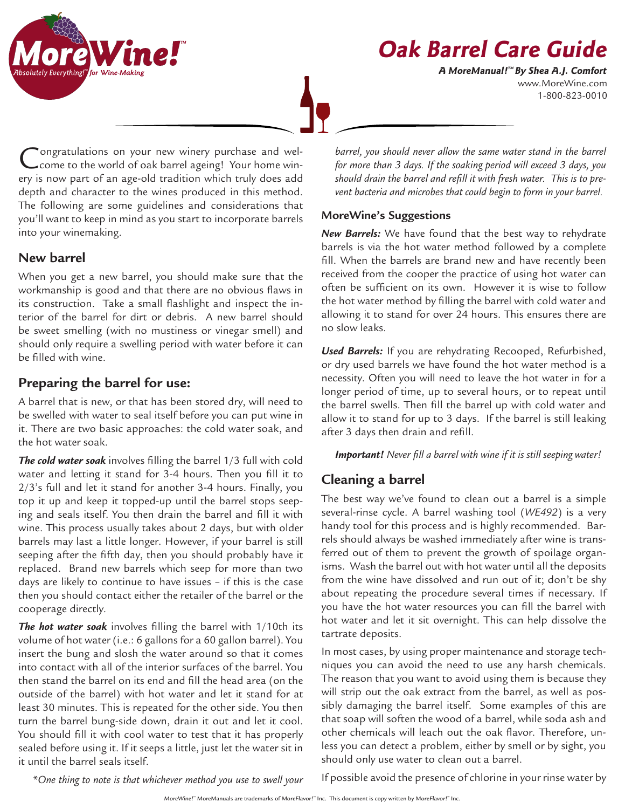

www.MoreWine.com 1-800-823-0010 **A MoreManual! ™ By Shea A.J. Comfort**



ongratulations on your new winery purchase and welcome to the world of oak barrel ageing! Your home winery is now part of an age-old tradition which truly does add depth and character to the wines produced in this method. The following are some guidelines and considerations that you'll want to keep in mind as you start to incorporate barrels into your winemaking.

# **New barrel**

When you get a new barrel, you should make sure that the workmanship is good and that there are no obvious flaws in its construction. Take a small flashlight and inspect the interior of the barrel for dirt or debris. A new barrel should be sweet smelling (with no mustiness or vinegar smell) and should only require a swelling period with water before it can be filled with wine.

# **Preparing the barrel for use:**

A barrel that is new, or that has been stored dry, will need to be swelled with water to seal itself before you can put wine in it. There are two basic approaches: the cold water soak, and the hot water soak.

*The cold water soak* involves filling the barrel 1/3 full with cold water and letting it stand for 3-4 hours. Then you fill it to 2/3's full and let it stand for another 3-4 hours. Finally, you top it up and keep it topped-up until the barrel stops seeping and seals itself. You then drain the barrel and fill it with wine. This process usually takes about 2 days, but with older barrels may last a little longer. However, if your barrel is still seeping after the fifth day, then you should probably have it replaced. Brand new barrels which seep for more than two days are likely to continue to have issues – if this is the case then you should contact either the retailer of the barrel or the cooperage directly.

*The hot water soak* involves filling the barrel with 1/10th its volume of hot water (i.e.: 6 gallons for a 60 gallon barrel). You insert the bung and slosh the water around so that it comes into contact with all of the interior surfaces of the barrel. You then stand the barrel on its end and fill the head area (on the outside of the barrel) with hot water and let it stand for at least 30 minutes. This is repeated for the other side. You then turn the barrel bung-side down, drain it out and let it cool. You should fill it with cool water to test that it has properly sealed before using it. If it seeps a little, just let the water sit in it until the barrel seals itself.

barrel, you should never allow the same water stand in the barrel *for more than 3 days. If the soaking period will exceed 3 days, you should drain the barrel and refill it with fresh water. This is to prevent bacteria and microbes that could begin to form in your barrel.*

### **MoreWine's Suggestions**

*New Barrels:* We have found that the best way to rehydrate barrels is via the hot water method followed by a complete fill. When the barrels are brand new and have recently been received from the cooper the practice of using hot water can often be sufficient on its own. However it is wise to follow the hot water method by filling the barrel with cold water and allowing it to stand for over 24 hours. This ensures there are no slow leaks.

*Used Barrels:* If you are rehydrating Recooped, Refurbished, or dry used barrels we have found the hot water method is a necessity. Often you will need to leave the hot water in for a longer period of time, up to several hours, or to repeat until the barrel swells. Then fill the barrel up with cold water and allow it to stand for up to 3 days. If the barrel is still leaking after 3 days then drain and refill.

*Important! Never fill a barrel with wine if it is still seeping water!* 

# **Cleaning a barrel**

The best way we've found to clean out a barrel is a simple several-rinse cycle. A barrel washing tool (*WE492*) is a very handy tool for this process and is highly recommended. Barrels should always be washed immediately after wine is transferred out of them to prevent the growth of spoilage organisms. Wash the barrel out with hot water until all the deposits from the wine have dissolved and run out of it; don't be shy about repeating the procedure several times if necessary. If you have the hot water resources you can fill the barrel with hot water and let it sit overnight. This can help dissolve the tartrate deposits.

In most cases, by using proper maintenance and storage techniques you can avoid the need to use any harsh chemicals. The reason that you want to avoid using them is because they will strip out the oak extract from the barrel, as well as possibly damaging the barrel itself. Some examples of this are that soap will soften the wood of a barrel, while soda ash and other chemicals will leach out the oak flavor. Therefore, unless you can detect a problem, either by smell or by sight, you should only use water to clean out a barrel.

*\*One thing to note is that whichever method you use to swell your* 

If possible avoid the presence of chlorine in your rinse water by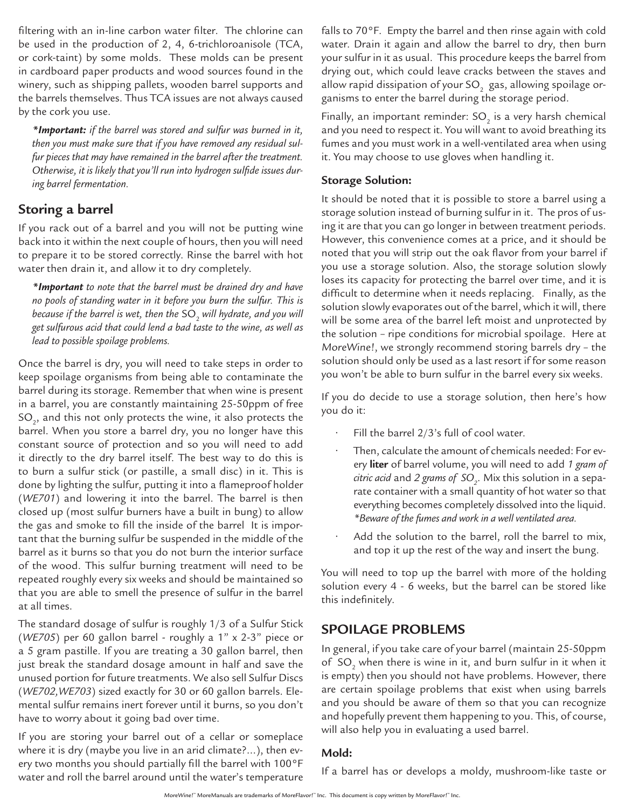filtering with an in-line carbon water filter. The chlorine can be used in the production of 2, 4, 6-trichloroanisole (TCA, or cork-taint) by some molds. These molds can be present in cardboard paper products and wood sources found in the winery, such as shipping pallets, wooden barrel supports and the barrels themselves. Thus TCA issues are not always caused by the cork you use.

*\*Important: if the barrel was stored and sulfur was burned in it, then you must make sure that if you have removed any residual sulfur pieces that may have remained in the barrel after the treatment. Otherwise, it is likely that you'll run into hydrogen sulfide issues during barrel fermentation.*

### **Storing a barrel**

If you rack out of a barrel and you will not be putting wine back into it within the next couple of hours, then you will need to prepare it to be stored correctly. Rinse the barrel with hot water then drain it, and allow it to dry completely.

*\*Important to note that the barrel must be drained dry and have no pools of standing water in it before you burn the sulfur. This is*  because if the barrel is wet, then the SO<sub>2</sub> will hydrate, and you will *get sulfurous acid that could lend a bad taste to the wine, as well as lead to possible spoilage problems.*

Once the barrel is dry, you will need to take steps in order to keep spoilage organisms from being able to contaminate the barrel during its storage. Remember that when wine is present in a barrel, you are constantly maintaining 25-50ppm of free SO $_{\textrm{\tiny{2}}'}$  and this not only protects the wine, it also protects the barrel. When you store a barrel dry, you no longer have this constant source of protection and so you will need to add it directly to the dry barrel itself. The best way to do this is to burn a sulfur stick (or pastille, a small disc) in it. This is done by lighting the sulfur, putting it into a flameproof holder (*WE701*) and lowering it into the barrel. The barrel is then closed up (most sulfur burners have a built in bung) to allow the gas and smoke to fill the inside of the barrel It is important that the burning sulfur be suspended in the middle of the barrel as it burns so that you do not burn the interior surface of the wood. This sulfur burning treatment will need to be repeated roughly every six weeks and should be maintained so that you are able to smell the presence of sulfur in the barrel at all times.

The standard dosage of sulfur is roughly 1/3 of a Sulfur Stick (*WE705*) per 60 gallon barrel - roughly a 1" x 2-3" piece or a 5 gram pastille. If you are treating a 30 gallon barrel, then just break the standard dosage amount in half and save the unused portion for future treatments. We also sell Sulfur Discs (*WE702,WE703*) sized exactly for 30 or 60 gallon barrels. Elemental sulfur remains inert forever until it burns, so you don't have to worry about it going bad over time.

If you are storing your barrel out of a cellar or someplace where it is dry (maybe you live in an arid climate?…), then every two months you should partially fill the barrel with 100°F water and roll the barrel around until the water's temperature falls to 70°F. Empty the barrel and then rinse again with cold water. Drain it again and allow the barrel to dry, then burn your sulfur in it as usual. This procedure keeps the barrel from drying out, which could leave cracks between the staves and allow rapid dissipation of your SO $\rm _2$  gas, allowing spoilage organisms to enter the barrel during the storage period.

Finally, an important reminder:  $SO<sub>2</sub>$  is a very harsh chemical and you need to respect it. You will want to avoid breathing its fumes and you must work in a well-ventilated area when using it. You may choose to use gloves when handling it.

### **Storage Solution:**

It should be noted that it is possible to store a barrel using a storage solution instead of burning sulfur in it. The pros of using it are that you can go longer in between treatment periods. However, this convenience comes at a price, and it should be noted that you will strip out the oak flavor from your barrel if you use a storage solution. Also, the storage solution slowly loses its capacity for protecting the barrel over time, and it is difficult to determine when it needs replacing. Finally, as the solution slowly evaporates out of the barrel, which it will, there will be some area of the barrel left moist and unprotected by the solution – ripe conditions for microbial spoilage. Here at MoreWine!, we strongly recommend storing barrels dry – the solution should only be used as a last resort if for some reason you won't be able to burn sulfur in the barrel every six weeks.

If you do decide to use a storage solution, then here's how you do it:

- Fill the barrel  $2/3$ 's full of cool water.
- Then, calculate the amount of chemicals needed: For every **liter** of barrel volume, you will need to add *1 gram of citric acid* and *2 grams of SO<sub>2</sub>. Mix this solution in a sepa*rate container with a small quantity of hot water so that everything becomes completely dissolved into the liquid. *\*Beware of the fumes and work in a well ventilated area.*
- Add the solution to the barrel, roll the barrel to mix, and top it up the rest of the way and insert the bung.

You will need to top up the barrel with more of the holding solution every 4 - 6 weeks, but the barrel can be stored like this indefinitely.

# **SPOILAGE PROBLEMS**

In general, if you take care of your barrel (maintain 25-50ppm of  $SO<sub>2</sub>$  when there is wine in it, and burn sulfur in it when it is empty) then you should not have problems. However, there are certain spoilage problems that exist when using barrels and you should be aware of them so that you can recognize and hopefully prevent them happening to you. This, of course, will also help you in evaluating a used barrel.

### **Mold:**

If a barrel has or develops a moldy, mushroom-like taste or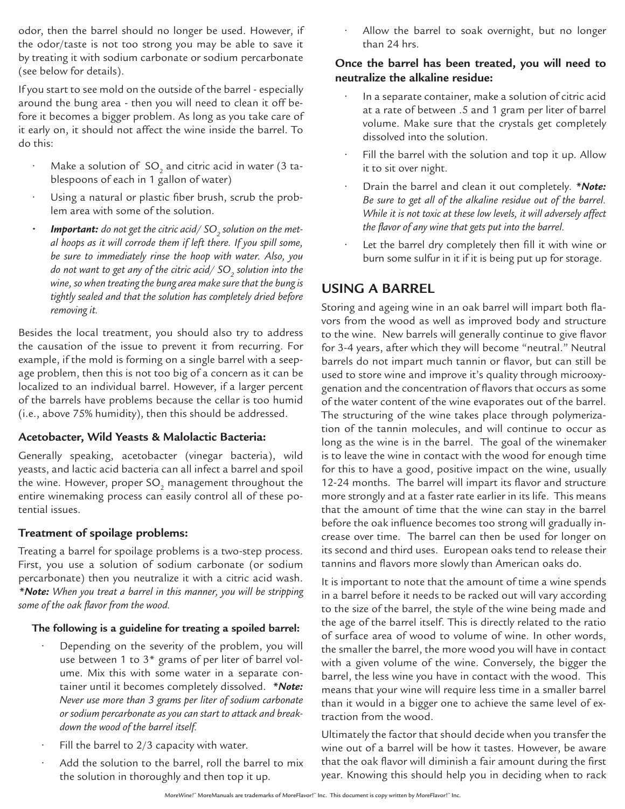odor, then the barrel should no longer be used. However, if the odor/taste is not too strong you may be able to save it by treating it with sodium carbonate or sodium percarbonate (see below for details).

If you start to see mold on the outside of the barrel - especially around the bung area - then you will need to clean it off before it becomes a bigger problem. As long as you take care of it early on, it should not affect the wine inside the barrel. To do this:

- Make a solution of  $SO_2$  and citric acid in water (3 tablespoons of each in 1 gallon of water)
- Using a natural or plastic fiber brush, scrub the problem area with some of the solution.
- $\bm{\cdot}$  **dimportant:** do not get the citric acid/ SO<sub>2</sub> solution on the met*al hoops as it will corrode them if left there. If you spill some, be sure to immediately rinse the hoop with water. Also, you*  do not want to get any of the citric acid/ SO<sub>2</sub> solution into the *wine, so when treating the bung area make sure that the bung is tightly sealed and that the solution has completely dried before removing it.*

Besides the local treatment, you should also try to address the causation of the issue to prevent it from recurring. For example, if the mold is forming on a single barrel with a seepage problem, then this is not too big of a concern as it can be localized to an individual barrel. However, if a larger percent of the barrels have problems because the cellar is too humid (i.e., above 75% humidity), then this should be addressed.

#### **Acetobacter, Wild Yeasts & Malolactic Bacteria:**

Generally speaking, acetobacter (vinegar bacteria), wild yeasts, and lactic acid bacteria can all infect a barrel and spoil the wine. However, proper SO<sub>2</sub> management throughout the entire winemaking process can easily control all of these potential issues.

#### **Treatment of spoilage problems:**

Treating a barrel for spoilage problems is a two-step process. First, you use a solution of sodium carbonate (or sodium percarbonate) then you neutralize it with a citric acid wash. *\*Note: When you treat a barrel in this manner, you will be stripping some of the oak flavor from the wood.* 

#### **The following is a guideline for treating a spoiled barrel:**

- Depending on the severity of the problem, you will use between 1 to 3\* grams of per liter of barrel volume. Mix this with some water in a separate container until it becomes completely dissolved. *\*Note: Never use more than 3 grams per liter of sodium carbonate or sodium percarbonate as you can start to attack and breakdown the wood of the barrel itself.*
- Fill the barrel to 2/3 capacity with water.
- Add the solution to the barrel, roll the barrel to mix the solution in thoroughly and then top it up.

Allow the barrel to soak overnight, but no longer than 24 hrs.

### **Once the barrel has been treated, you will need to neutralize the alkaline residue:**

- In a separate container, make a solution of citric acid at a rate of between .5 and 1 gram per liter of barrel volume. Make sure that the crystals get completely dissolved into the solution.
- Fill the barrel with the solution and top it up. Allow it to sit over night.
- Drain the barrel and clean it out completely. *\*Note: Be sure to get all of the alkaline residue out of the barrel. While it is not toxic at these low levels, it will adversely affect the flavor of any wine that gets put into the barrel.*
- Let the barrel dry completely then fill it with wine or burn some sulfur in it if it is being put up for storage.

# **USING A BARREL**

Storing and ageing wine in an oak barrel will impart both flavors from the wood as well as improved body and structure to the wine. New barrels will generally continue to give flavor for 3-4 years, after which they will become "neutral." Neutral barrels do not impart much tannin or flavor, but can still be used to store wine and improve it's quality through microoxygenation and the concentration of flavors that occurs as some of the water content of the wine evaporates out of the barrel. The structuring of the wine takes place through polymerization of the tannin molecules, and will continue to occur as long as the wine is in the barrel. The goal of the winemaker is to leave the wine in contact with the wood for enough time for this to have a good, positive impact on the wine, usually 12-24 months. The barrel will impart its flavor and structure more strongly and at a faster rate earlier in its life. This means that the amount of time that the wine can stay in the barrel before the oak influence becomes too strong will gradually increase over time. The barrel can then be used for longer on its second and third uses. European oaks tend to release their tannins and flavors more slowly than American oaks do.

It is important to note that the amount of time a wine spends in a barrel before it needs to be racked out will vary according to the size of the barrel, the style of the wine being made and the age of the barrel itself. This is directly related to the ratio of surface area of wood to volume of wine. In other words, the smaller the barrel, the more wood you will have in contact with a given volume of the wine. Conversely, the bigger the barrel, the less wine you have in contact with the wood. This means that your wine will require less time in a smaller barrel than it would in a bigger one to achieve the same level of extraction from the wood.

Ultimately the factor that should decide when you transfer the wine out of a barrel will be how it tastes. However, be aware that the oak flavor will diminish a fair amount during the first year. Knowing this should help you in deciding when to rack